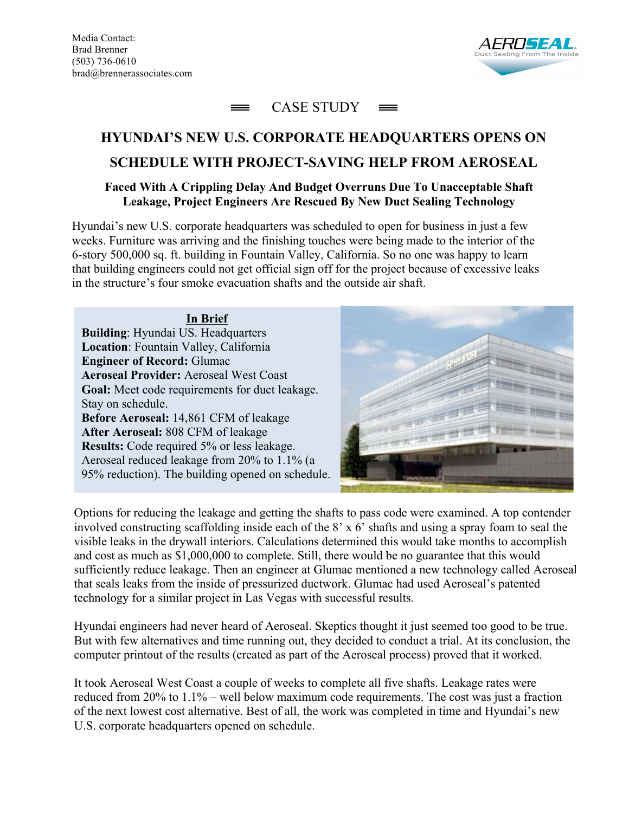Media Contact: Brad Brenner (503) 736-0610 brad@brennerassociates.com





## **HYUNDAI'S NEW U.S. CORPORATE HEADQUARTERS OPENS ON SCHEDULE WITH PROJECT-SAVING HELP FROM AEROSEAL**

## **Faced With A Crippling Delay And Budget Overruns Due To Unacceptable Shaft Leakage, Project Engineers Are Rescued By New Duct Sealing Technology**

Hyundai's new U.S. corporate headquarters was scheduled to open for business in just a few weeks. Furniture was arriving and the finishing touches were being made to the interior of the 6-story 500,000 sq. ft. building in Fountain Valley, California. So no one was happy to learn that building engineers could not get official sign off for the project because of excessive leaks in the structure's four smoke evacuation shafts and the outside air shaft.

**In Brief Building**: Hyundai US. Headquarters **Location**: Fountain Valley, California **Engineer of Record:** Glumac **Aeroseal Provider:** Aeroseal West Coast **Goal:** Meet code requirements for duct leakage. Stay on schedule. **Before Aeroseal:** 14,861 CFM of leakage **After Aeroseal:** 808 CFM of leakage **Results:** Code required 5% or less leakage. Aeroseal reduced leakage from 20% to 1.1% (a 95% reduction). The building opened on schedule.



Options for reducing the leakage and getting the shafts to pass code were examined. A top contender involved constructing scaffolding inside each of the 8' x 6' shafts and using a spray foam to seal the visible leaks in the drywall interiors. Calculations determined this would take months to accomplish and cost as much as \$1,000,000 to complete. Still, there would be no guarantee that this would sufficiently reduce leakage. Then an engineer at Glumac mentioned a new technology called Aeroseal that seals leaks from the inside of pressurized ductwork. Glumac had used Aeroseal's patented technology for a similar project in Las Vegas with successful results.

Hyundai engineers had never heard of Aeroseal. Skeptics thought it just seemed too good to be true. But with few alternatives and time running out, they decided to conduct a trial. At its conclusion, the computer printout of the results (created as part of the Aeroseal process) proved that it worked.

It took Aeroseal West Coast a couple of weeks to complete all five shafts. Leakage rates were reduced from 20% to 1.1% – well below maximum code requirements. The cost was just a fraction of the next lowest cost alternative. Best of all, the work was completed in time and Hyundai's new U.S. corporate headquarters opened on schedule.